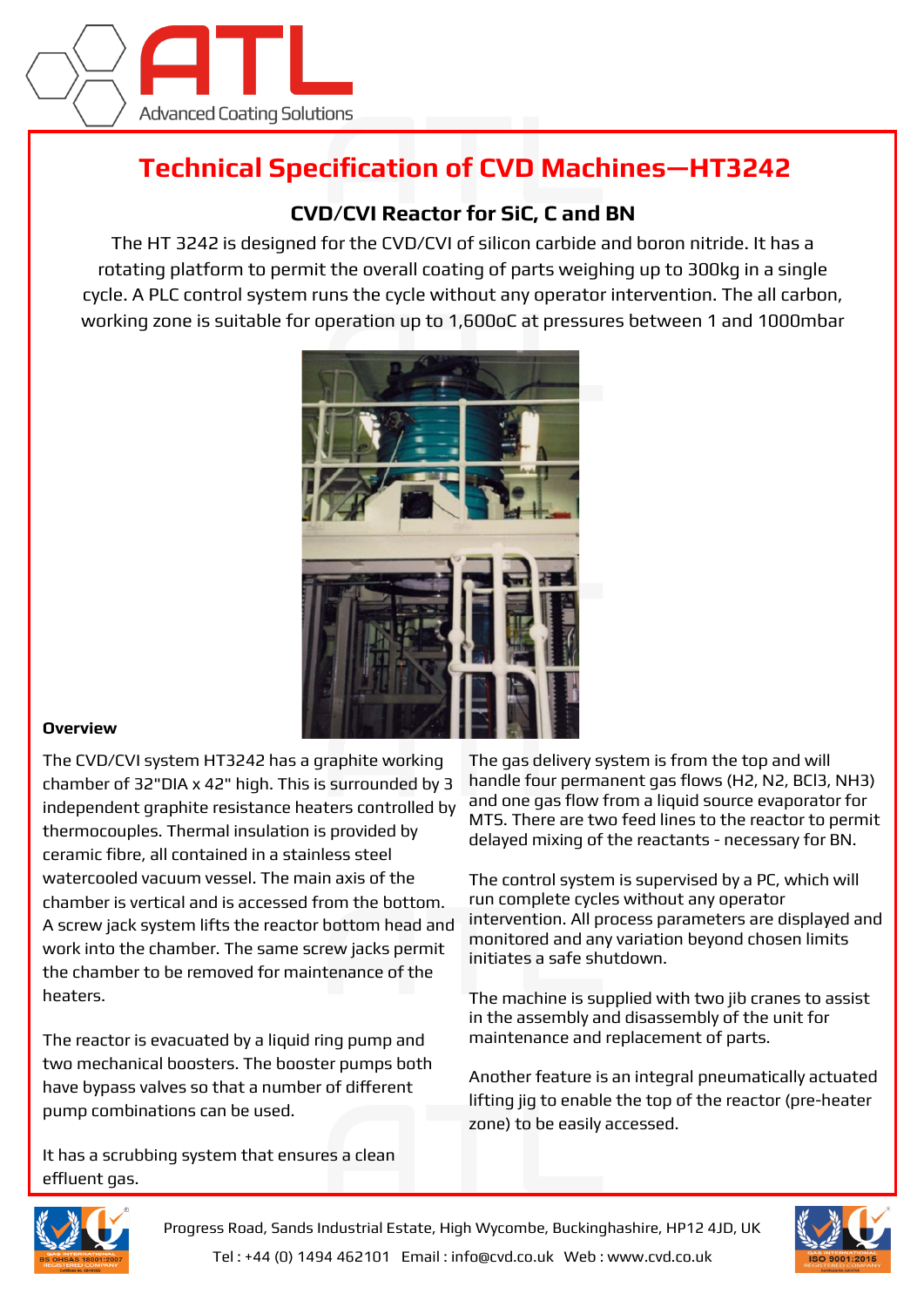

## **Technical Specification of CVD Machines—HT3242**

## **CVD/CVI Reactor for SiC, C and BN**

The HT 3242 is designed for the CVD/CVI of silicon carbide and boron nitride. It has a rotating platform to permit the overall coating of parts weighing up to 300kg in a single cycle. A PLC control system runs the cycle without any operator intervention. The all carbon, working zone is suitable for operation up to 1,600oC at pressures between 1 and 1000mbar



## **Overview**

The CVD/CVI system HT3242 has a graphite working chamber of 32"DIA x 42" high. This is surrounded by 3 independent graphite resistance heaters controlled by thermocouples. Thermal insulation is provided by ceramic fibre, all contained in a stainless steel watercooled vacuum vessel. The main axis of the chamber is vertical and is accessed from the bottom. A screw jack system lifts the reactor bottom head and work into the chamber. The same screw jacks permit the chamber to be removed for maintenance of the heaters.

The reactor is evacuated by a liquid ring pump and two mechanical boosters. The booster pumps both have bypass valves so that a number of different pump combinations can be used.

It has a scrubbing system that ensures a clean effluent gas.

The gas delivery system is from the top and will handle four permanent gas flows (H2, N2, BCl3, NH3) and one gas flow from a liquid source evaporator for MTS. There are two feed lines to the reactor to permit delayed mixing of the reactants - necessary for BN.

The control system is supervised by a PC, which will run complete cycles without any operator intervention. All process parameters are displayed and monitored and any variation beyond chosen limits initiates a safe shutdown.

The machine is supplied with two jib cranes to assist in the assembly and disassembly of the unit for maintenance and replacement of parts.

Another feature is an integral pneumatically actuated lifting jig to enable the top of the reactor (pre-heater zone) to be easily accessed.



Progress Road, Sands Industrial Estate, High Wycombe, Buckinghashire, HP12 4JD, UK Tel : +44 (0) 1494 462101 Email : info@cvd.co.uk Web : www.cvd.co.uk